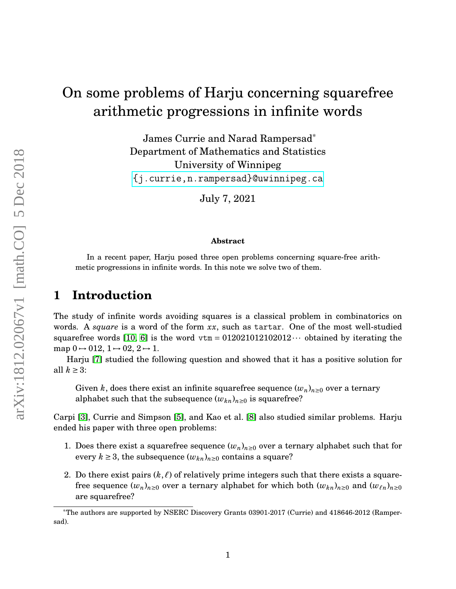# On some problems of Harju concerning squarefree arithmetic progressions in infinite words

James Currie and Narad Rampersad\* Department of Mathematics and Statistics University of Winnipeg [{j.currie,n.rampersad}@uwinnipeg.ca]({j.currie, n.rampersad}@uwinnipeg.ca)

July 7, 2021

#### **Abstract**

In a recent paper, Harju posed three open problems concerning square-free arithmetic progressions in infinite words. In this note we solve two of them.

# **1 Introduction**

The study of infinite words avoiding squares is a classical problem in combinatorics on words. A *square* is a word of the form *xx*, such as tartar. One of the most well-studied squarefree words [\[10,](#page-3-0) [6\]](#page-3-1) is the word  $v \text{tr} = 0.12021012102012 \cdots$  obtained by iterating the map  $0 \rightarrow 012$ ,  $1 \rightarrow 02$ ,  $2 \rightarrow 1$ .

Harju [\[7\]](#page-3-2) studied the following question and showed that it has a positive solution for all  $k \geq 3$ :

Given *k*, does there exist an infinite squarefree sequence  $(w_n)_{n\geq 0}$  over a ternary alphabet such that the subsequence  $(w_{kn})_{n\geq 0}$  is squarefree?

Carpi [\[3\]](#page-2-0), Currie and Simpson [\[5\]](#page-3-3), and Kao et al. [\[8\]](#page-3-4) also studied similar problems. Harju ended his paper with three open problems:

- 1. Does there exist a squarefree sequence  $(w_n)_{n\geq 0}$  over a ternary alphabet such that for every  $k \geq 3$ , the subsequence  $(w_{kn})_{n\geq 0}$  contains a square?
- 2. Do there exist pairs  $(k, \ell)$  of relatively prime integers such that there exists a squarefree sequence  $(w_n)_{n\geq 0}$  over a ternary alphabet for which both  $(w_{kn})_{n\geq 0}$  and  $(w_{\ell n})_{n\geq 0}$ are squarefree?

<sup>\*</sup>The authors are supported by NSERC Discovery Grants 03901-2017 (Currie) and 418646-2012 (Rampersad).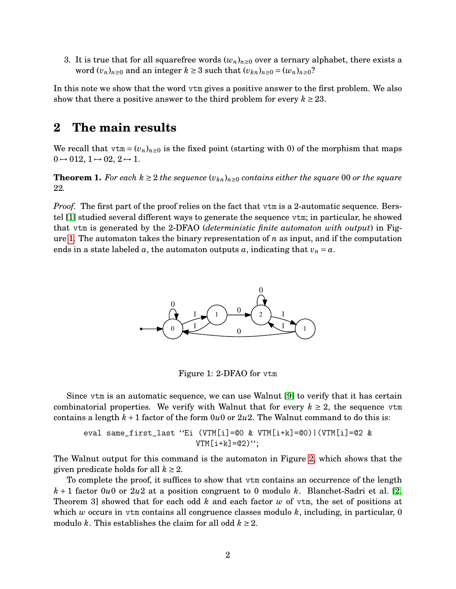3. It is true that for all squarefree words  $(w_n)_{n\geq 0}$  over a ternary alphabet, there exists a word  $(v_n)_{n\geq 0}$  and an integer  $k \geq 3$  such that  $(v_{kn})_{n\geq 0} = (w_n)_{n\geq 0}$ ?

In this note we show that the word vtm gives a positive answer to the first problem. We also show that there a positive answer to the third problem for every  $k \geq 23$ .

## **2 The main results**

We recall that  $vtm = (v_n)_{n \geq 0}$  is the fixed point (starting with 0) of the morphism that maps  $0 \rightarrow 012, 1 \rightarrow 02, 2 \rightarrow 1.$ 

**Theorem 1.** *For each*  $k \geq 2$  *the sequence*  $(v_{kn})_{n \geq 0}$  *contains either the square* 00 *or the square* 22*.*

<span id="page-1-0"></span>*Proof.* The first part of the proof relies on the fact that vtm is a 2-automatic sequence. Berstel [\[1\]](#page-2-1) studied several different ways to generate the sequence vtm; in particular, he showed that vtm is generated by the 2-DFAO (*deterministic finite automaton with output*) in Figure [1.](#page-1-0) The automaton takes the binary representation of *n* as input, and if the computation ends in a state labeled  $a$ , the automaton outputs  $a$ , indicating that  $v_n = a$ .



Figure 1: 2-DFAO for vtm

Since vtm is an automatic sequence, we can use Walnut [\[9\]](#page-3-5) to verify that it has certain combinatorial properties. We verify with Walnut that for every  $k \geq 2$ , the sequence vtm contains a length  $k+1$  factor of the form  $0u0$  or  $2u2$ . The Walnut command to do this is:

eval same\_first\_last "Ei (VTM[i]=@0 & VTM[i+k]=@0)|(VTM[i]=@2 &  $VTM[i+k]=@2)$ ":

The Walnut output for this command is the automaton in Figure [2,](#page-2-2) which shows that the given predicate holds for all  $k \geq 2$ .

To complete the proof, it suffices to show that vtm contains an occurrence of the length *k* + 1 factor 0*u*0 or 2*u*2 at a position congruent to 0 modulo *k*. Blanchet-Sadri et al. [\[2,](#page-2-3) Theorem 3] showed that for each odd *k* and each factor *w* of vtm, the set of positions at which *w* occurs in vtm contains all congruence classes modulo *k*, including, in particular, 0 modulo *k*. This establishes the claim for all odd  $k \geq 2$ .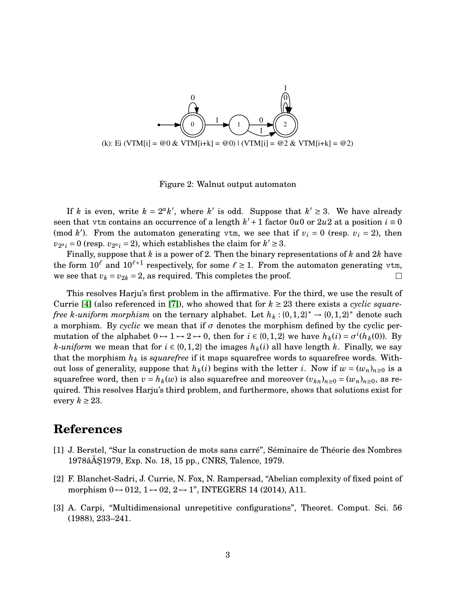<span id="page-2-2"></span>

Figure 2: Walnut output automaton

If *k* is even, write  $k = 2^a k'$ , where  $k'$  is odd. Suppose that  $k' \geq 3$ . We have already seen that vtm contains an occurrence of a length  $k' + 1$  factor 0*u*0 or 2*u*2 at a position  $i \equiv 0$ (mod *k*<sup>'</sup>). From the automaton generating vtm, we see that if  $v_i = 0$  (resp.  $v_i = 2$ ), then  $v_{2^a i} = 0$  (resp.  $v_{2^a i} = 2$ ), which establishes the claim for  $k' \ge 3$ .

Finally, suppose that *k* is a power of 2. Then the binary representations of *k* and 2*k* have the form  $10^{\ell}$  and  $10^{\ell+1}$  respectively, for some  $\ell \ge 1$ . From the automaton generating vtm, we see that  $v_k = v_{2k} = 2$ , as required. This completes the proof.  $\Box$ 

This resolves Harju's first problem in the affirmative. For the third, we use the result of Currie [\[4\]](#page-3-6) (also referenced in [\[7\]](#page-3-2)), who showed that for  $k \geq 23$  there exists a *cyclic squarefree k-uniform morphism* on the ternary alphabet. Let  $h_k$  : {0,1,2}<sup>\*</sup>  $\rightarrow$  {0,1,2}<sup>\*</sup> denote such a morphism. By *cyclic* we mean that if  $\sigma$  denotes the morphism defined by the cyclic permutation of the alphabet  $0 \rightarrow 1 \rightarrow 2 \rightarrow 0$ , then for  $i \in \{0,1,2\}$  we have  $h_k(i) = \sigma^i(h_k(0))$ . By *k-uniform* we mean that for  $i \in \{0, 1, 2\}$  the images  $h_k(i)$  all have length *k*. Finally, we say that the morphism  $h_k$  is *squarefree* if it maps squarefree words to squarefree words. Without loss of generality, suppose that  $h_k(i)$  begins with the letter *i*. Now if  $w = (w_n)_{n \geq 0}$  is a squarefree word, then  $v = h_k(w)$  is also squarefree and moreover  $(v_{kn})_{n \geq 0} = (w_n)_{n \geq 0}$ , as required. This resolves Harju's third problem, and furthermore, shows that solutions exist for every  $k \geq 23$ .

### **References**

- <span id="page-2-1"></span>[1] J. Berstel, "Sur la construction de mots sans carré", Séminaire de Théorie des Nombres 1978âA Ș $1979$ , Exp. No. 18, 15 pp., CNRS, Talence, 1979.
- <span id="page-2-3"></span>[2] F. Blanchet-Sadri, J. Currie, N. Fox, N. Rampersad, "Abelian complexity of fixed point of morphism  $0 \rightarrow 012$ ,  $1 \rightarrow 02$ ,  $2 \rightarrow 1$ ", INTEGERS 14 (2014), A11.
- <span id="page-2-0"></span>[3] A. Carpi, "Multidimensional unrepetitive configurations", Theoret. Comput. Sci. 56 (1988), 233–241.